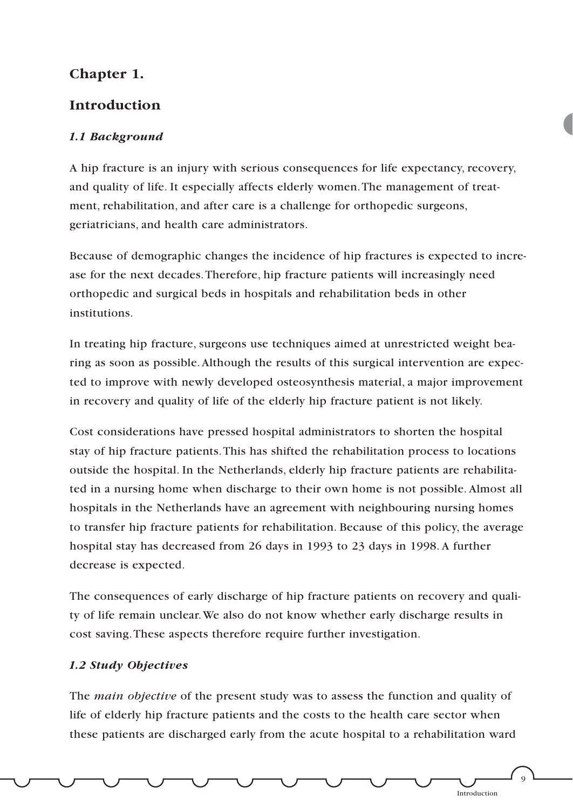# **Chapter 1.**

## **Introduction**

## *1.1 Background*

A hip fracture is an injury with serious consequences for life expectancy, recovery, and quality of life. It especially affects elderly women.The management of treatment, rehabilitation, and after care is a challenge for orthopedic surgeons, geriatricians, and health care administrators.

Because of demographic changes the incidence of hip fractures is expected to increase for the next decades.Therefore, hip fracture patients will increasingly need orthopedic and surgical beds in hospitals and rehabilitation beds in other institutions.

In treating hip fracture, surgeons use techniques aimed at unrestricted weight bearing as soon as possible.Although the results of this surgical intervention are expected to improve with newly developed osteosynthesis material, a major improvement in recovery and quality of life of the elderly hip fracture patient is not likely.

Cost considerations have pressed hospital administrators to shorten the hospital stay of hip fracture patients.This has shifted the rehabilitation process to locations outside the hospital. In the Netherlands, elderly hip fracture patients are rehabilitated in a nursing home when discharge to their own home is not possible. Almost all hospitals in the Netherlands have an agreement with neighbouring nursing homes to transfer hip fracture patients for rehabilitation. Because of this policy, the average hospital stay has decreased from 26 days in 1993 to 23 days in 1998. A further decrease is expected.

The consequences of early discharge of hip fracture patients on recovery and quality of life remain unclear.We also do not know whether early discharge results in cost saving.These aspects therefore require further investigation.

#### *1.2 Study Objectives*

The *main objective* of the present study was to assess the function and quality of life of elderly hip fracture patients and the costs to the health care sector when these patients are discharged early from the acute hospital to a rehabilitation ward

Introduction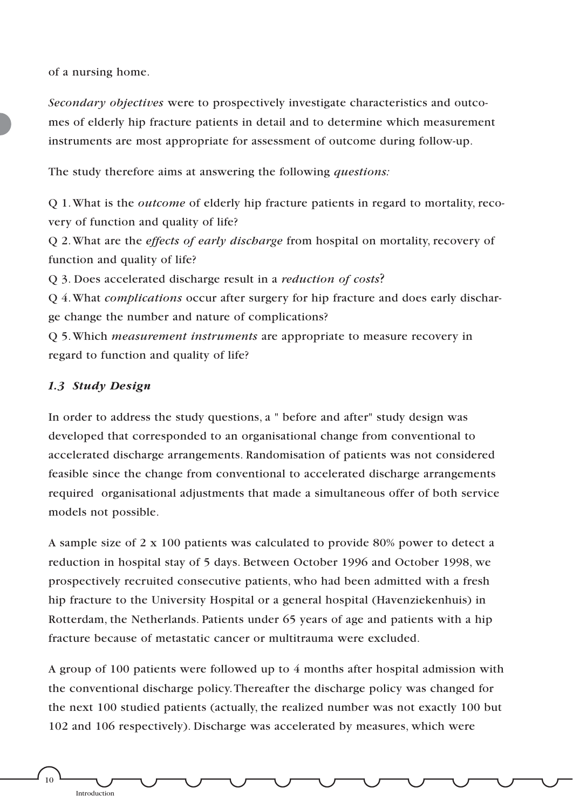of a nursing home.

*Secondary objectives* were to prospectively investigate characteristics and outcomes of elderly hip fracture patients in detail and to determine which measurement instruments are most appropriate for assessment of outcome during follow-up.

The study therefore aims at answering the following *questions:*

Q 1.What is the *outcome* of elderly hip fracture patients in regard to mortality, recovery of function and quality of life?

Q 2.What are the *effects of early discharge* from hospital on mortality, recovery of function and quality of life?

Q 3. Does accelerated discharge result in a *reduction of costs*?

Q 4.What *complications* occur after surgery for hip fracture and does early discharge change the number and nature of complications?

Q 5.Which *measurement instruments* are appropriate to measure recovery in regard to function and quality of life?

### *1.3 Study Design*

In order to address the study questions, a " before and after" study design was developed that corresponded to an organisational change from conventional to accelerated discharge arrangements. Randomisation of patients was not considered feasible since the change from conventional to accelerated discharge arrangements required organisational adjustments that made a simultaneous offer of both service models not possible.

A sample size of 2 x 100 patients was calculated to provide 80% power to detect a reduction in hospital stay of 5 days. Between October 1996 and October 1998, we prospectively recruited consecutive patients, who had been admitted with a fresh hip fracture to the University Hospital or a general hospital (Havenziekenhuis) in Rotterdam, the Netherlands. Patients under 65 years of age and patients with a hip fracture because of metastatic cancer or multitrauma were excluded.

A group of 100 patients were followed up to 4 months after hospital admission with the conventional discharge policy.Thereafter the discharge policy was changed for the next 100 studied patients (actually, the realized number was not exactly 100 but 102 and 106 respectively). Discharge was accelerated by measures, which were

10

Introduction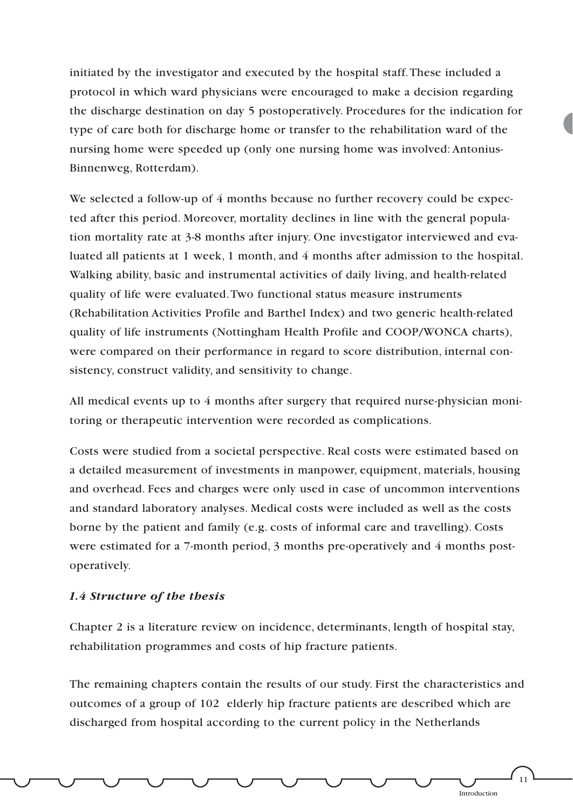initiated by the investigator and executed by the hospital staff.These included a protocol in which ward physicians were encouraged to make a decision regarding the discharge destination on day 5 postoperatively. Procedures for the indication for type of care both for discharge home or transfer to the rehabilitation ward of the nursing home were speeded up (only one nursing home was involved: Antonius-Binnenweg, Rotterdam).

We selected a follow-up of 4 months because no further recovery could be expected after this period. Moreover, mortality declines in line with the general population mortality rate at 3-8 months after injury. One investigator interviewed and evaluated all patients at 1 week, 1 month, and 4 months after admission to the hospital. Walking ability, basic and instrumental activities of daily living, and health-related quality of life were evaluated.Two functional status measure instruments (Rehabilitation Activities Profile and Barthel Index) and two generic health-related quality of life instruments (Nottingham Health Profile and COOP/WONCA charts), were compared on their performance in regard to score distribution, internal consistency, construct validity, and sensitivity to change.

All medical events up to 4 months after surgery that required nurse-physician monitoring or therapeutic intervention were recorded as complications.

Costs were studied from a societal perspective. Real costs were estimated based on a detailed measurement of investments in manpower, equipment, materials, housing and overhead. Fees and charges were only used in case of uncommon interventions and standard laboratory analyses. Medical costs were included as well as the costs borne by the patient and family (e.g. costs of informal care and travelling). Costs were estimated for a 7-month period, 3 months pre-operatively and 4 months postoperatively.

#### *1.4 Structure of the thesis*

Chapter 2 is a literature review on incidence, determinants, length of hospital stay, rehabilitation programmes and costs of hip fracture patients.

The remaining chapters contain the results of our study. First the characteristics and outcomes of a group of 102 elderly hip fracture patients are described which are discharged from hospital according to the current policy in the Netherlands

11

Introduction